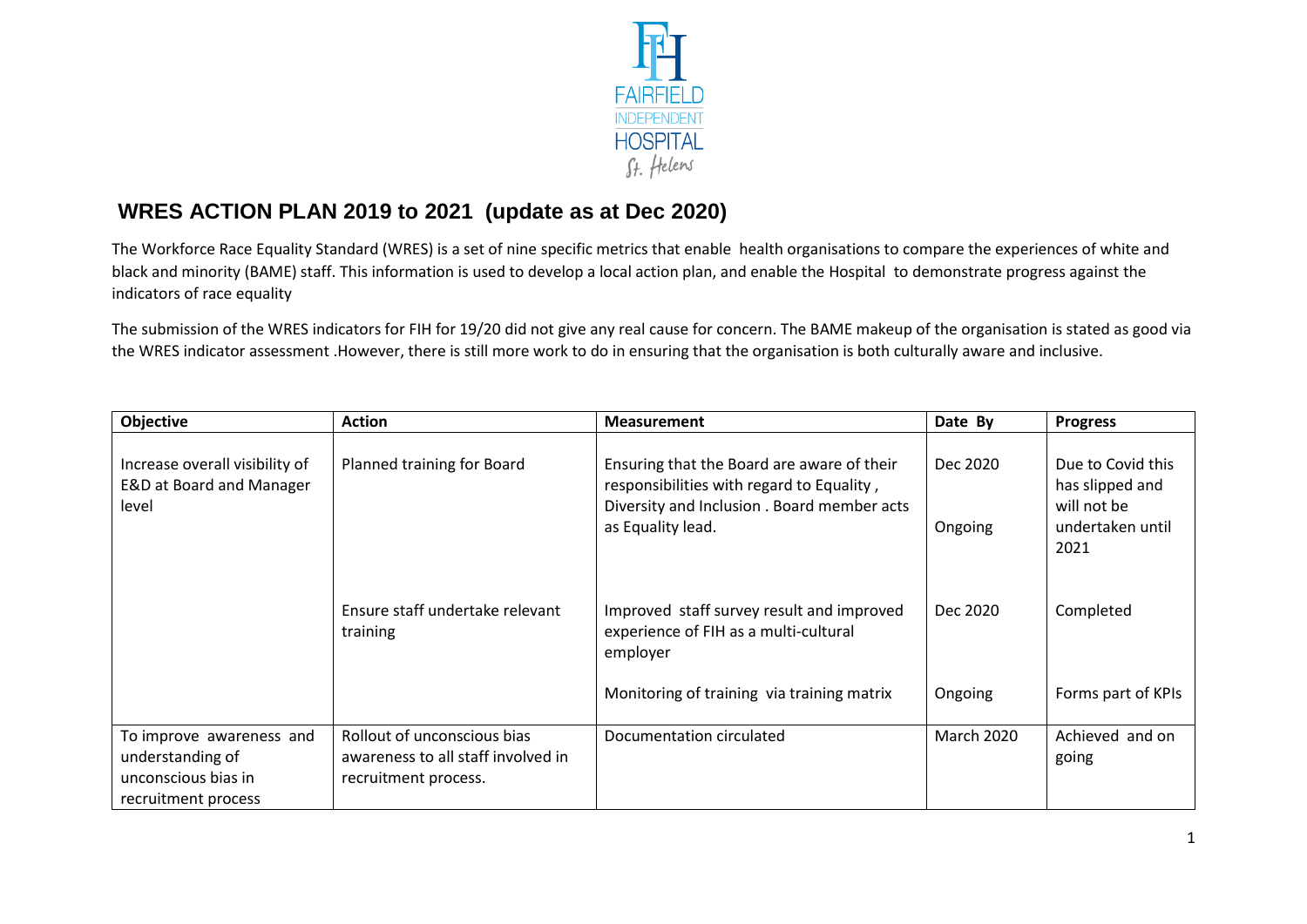

## **WRES ACTION PLAN 2019 to 2021 (update as at Dec 2020)**

The Workforce Race Equality Standard (WRES) is a set of nine specific metrics that enable health organisations to compare the experiences of white and black and minority (BAME) staff. This information is used to develop a local action plan, and enable the Hospital to demonstrate progress against the indicators of race equality

The submission of the WRES indicators for FIH for 19/20 did not give any real cause for concern. The BAME makeup of the organisation is stated as good via the WRES indicator assessment .However, there is still more work to do in ensuring that the organisation is both culturally aware and inclusive.

| Objective                                                                                  | <b>Action</b>                                                                             | <b>Measurement</b>                                                                                                                                          | Date By             | <b>Progress</b>                                                                 |
|--------------------------------------------------------------------------------------------|-------------------------------------------------------------------------------------------|-------------------------------------------------------------------------------------------------------------------------------------------------------------|---------------------|---------------------------------------------------------------------------------|
| Increase overall visibility of<br>E&D at Board and Manager<br>level                        | Planned training for Board                                                                | Ensuring that the Board are aware of their<br>responsibilities with regard to Equality,<br>Diversity and Inclusion . Board member acts<br>as Equality lead. | Dec 2020<br>Ongoing | Due to Covid this<br>has slipped and<br>will not be<br>undertaken until<br>2021 |
|                                                                                            | Ensure staff undertake relevant<br>training                                               | Improved staff survey result and improved<br>experience of FIH as a multi-cultural<br>employer                                                              | Dec 2020            | Completed                                                                       |
|                                                                                            |                                                                                           | Monitoring of training via training matrix                                                                                                                  | Ongoing             | Forms part of KPIs                                                              |
| To improve awareness and<br>understanding of<br>unconscious bias in<br>recruitment process | Rollout of unconscious bias<br>awareness to all staff involved in<br>recruitment process. | Documentation circulated                                                                                                                                    | <b>March 2020</b>   | Achieved and on<br>going                                                        |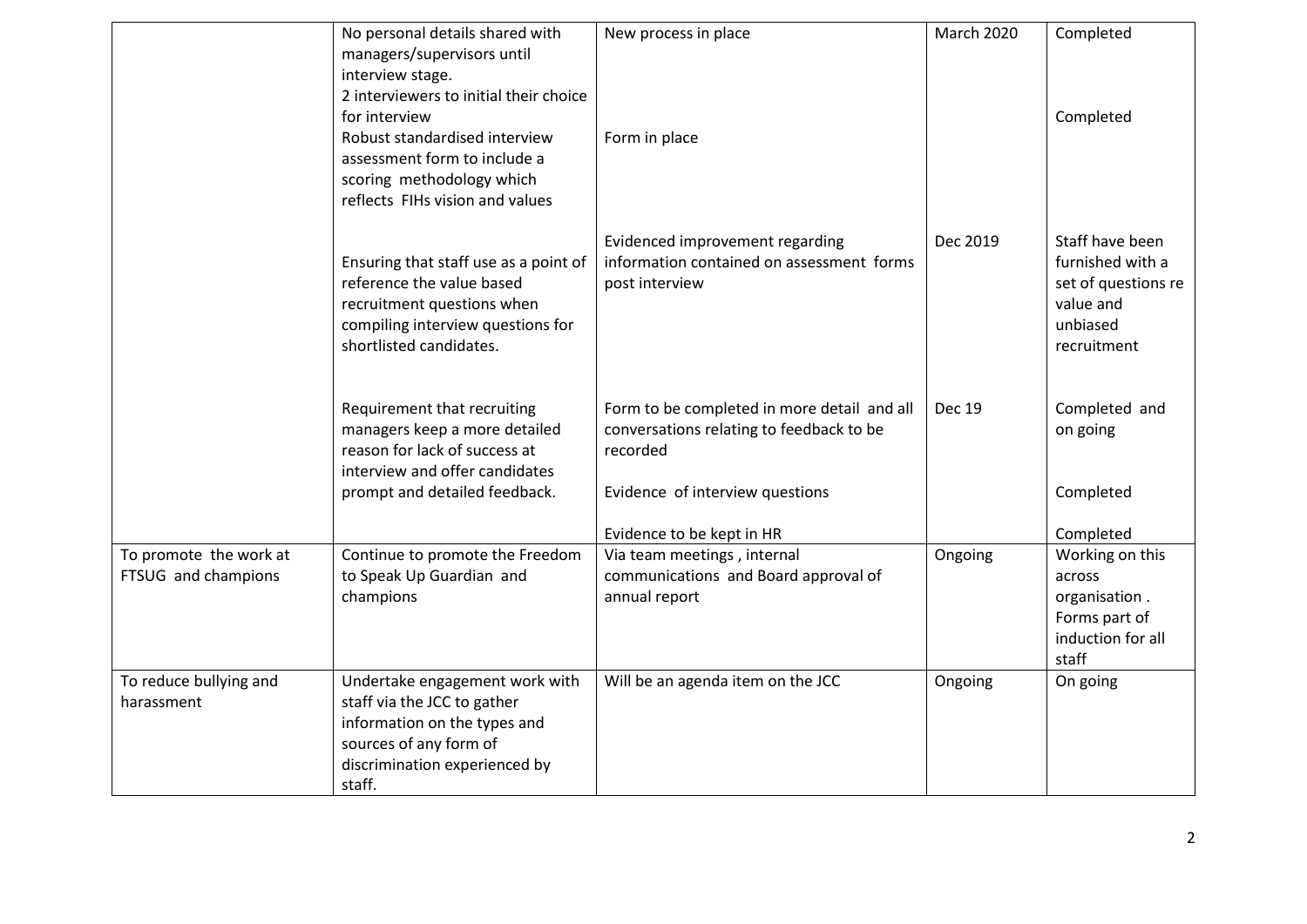|                                               | No personal details shared with<br>managers/supervisors until                                                                                                                                                | New process in place                                                                                                                   | <b>March 2020</b> | Completed                                                                                          |
|-----------------------------------------------|--------------------------------------------------------------------------------------------------------------------------------------------------------------------------------------------------------------|----------------------------------------------------------------------------------------------------------------------------------------|-------------------|----------------------------------------------------------------------------------------------------|
|                                               | interview stage.<br>2 interviewers to initial their choice<br>for interview<br>Robust standardised interview<br>assessment form to include a<br>scoring methodology which<br>reflects FIHs vision and values | Form in place                                                                                                                          |                   | Completed                                                                                          |
|                                               | Ensuring that staff use as a point of<br>reference the value based<br>recruitment questions when<br>compiling interview questions for<br>shortlisted candidates.                                             | Evidenced improvement regarding<br>information contained on assessment forms<br>post interview                                         | Dec 2019          | Staff have been<br>furnished with a<br>set of questions re<br>value and<br>unbiased<br>recruitment |
|                                               | Requirement that recruiting<br>managers keep a more detailed<br>reason for lack of success at<br>interview and offer candidates<br>prompt and detailed feedback.                                             | Form to be completed in more detail and all<br>conversations relating to feedback to be<br>recorded<br>Evidence of interview questions | <b>Dec 19</b>     | Completed and<br>on going<br>Completed                                                             |
|                                               |                                                                                                                                                                                                              | Evidence to be kept in HR                                                                                                              |                   | Completed                                                                                          |
| To promote the work at<br>FTSUG and champions | Continue to promote the Freedom<br>to Speak Up Guardian and<br>champions                                                                                                                                     | Via team meetings, internal<br>communications and Board approval of<br>annual report                                                   | Ongoing           | Working on this<br>across<br>organisation.<br>Forms part of<br>induction for all<br>staff          |
| To reduce bullying and<br>harassment          | Undertake engagement work with<br>staff via the JCC to gather<br>information on the types and<br>sources of any form of<br>discrimination experienced by<br>staff.                                           | Will be an agenda item on the JCC                                                                                                      | Ongoing           | On going                                                                                           |